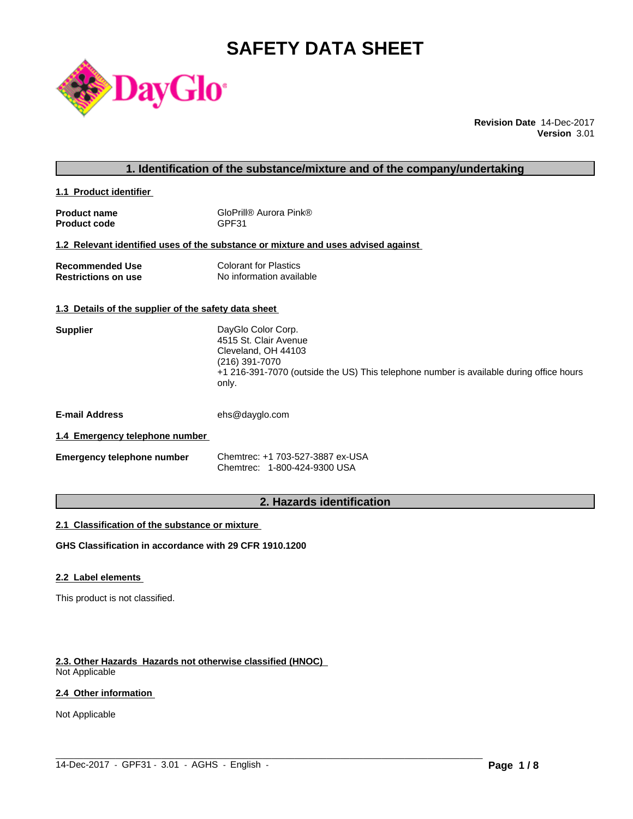# **SAFETY DATA SHEET**



**Revision Date** 14-Dec-2017 **Version** 3.01

# **1. Identification of the substance/mixture and of the company/undertaking**

**1.1 Product identifier** 

| <b>Product name</b> | GloPrill® Aurora Pink® |
|---------------------|------------------------|
| <b>Product code</b> | GPF31                  |

# **1.2 Relevant identified uses of the substance or mixture and uses advised against**

| <b>Recommended Use</b>     | <b>Colorant for Plastics</b> |
|----------------------------|------------------------------|
| <b>Restrictions on use</b> | No information available     |

#### **1.3 Details of the supplier of the safety data sheet**

| <b>Supplier</b> | DayGlo Color Corp.                                                                               |
|-----------------|--------------------------------------------------------------------------------------------------|
|                 | 4515 St. Clair Avenue                                                                            |
|                 | Cleveland, OH 44103                                                                              |
|                 | (216) 391-7070                                                                                   |
|                 | +1 216-391-7070 (outside the US) This telephone number is available during office hours<br>only. |
|                 |                                                                                                  |

**E-mail Address** ehs@dayglo.com

#### **1.4 Emergency telephone number**

| <b>Emergency telephone number</b> | Chemtrec: +1 703-527-3887 ex-USA |
|-----------------------------------|----------------------------------|
|                                   | Chemtrec: 1-800-424-9300 USA     |

# **2. Hazards identification**

 $\_$  ,  $\_$  ,  $\_$  ,  $\_$  ,  $\_$  ,  $\_$  ,  $\_$  ,  $\_$  ,  $\_$  ,  $\_$  ,  $\_$  ,  $\_$  ,  $\_$  ,  $\_$  ,  $\_$  ,  $\_$  ,  $\_$  ,  $\_$  ,  $\_$  ,  $\_$  ,  $\_$  ,  $\_$  ,  $\_$  ,  $\_$  ,  $\_$  ,  $\_$  ,  $\_$  ,  $\_$  ,  $\_$  ,  $\_$  ,  $\_$  ,  $\_$  ,  $\_$  ,  $\_$  ,  $\_$  ,  $\_$  ,  $\_$  ,

#### **2.1 Classification of the substance or mixture**

**GHS Classification in accordance with 29 CFR 1910.1200**

#### **2.2 Label elements**

This product is not classified.

#### **2.3. Other Hazards Hazards not otherwise classified (HNOC)**

Not Applicable

# **2.4 Other information**

Not Applicable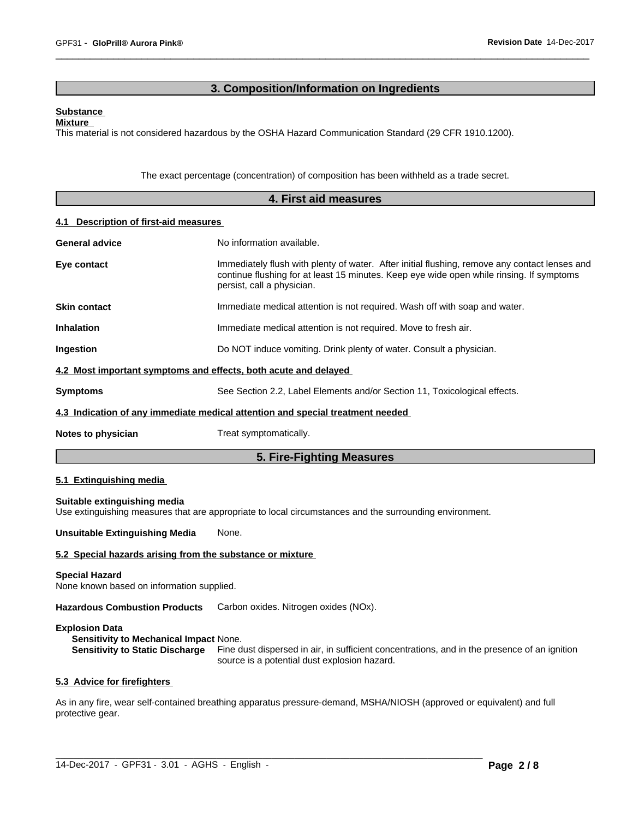# **3. Composition/Information on Ingredients**

#### **Substance**

**Mixture**

This material is not considered hazardous by the OSHA Hazard Communication Standard (29 CFR 1910.1200).

The exact percentage (concentration) of composition has been withheld as a trade secret.

| 4. First aid measures                 |                                                                                                                                                                                                                         |  |
|---------------------------------------|-------------------------------------------------------------------------------------------------------------------------------------------------------------------------------------------------------------------------|--|
| 4.1 Description of first-aid measures |                                                                                                                                                                                                                         |  |
| <b>General advice</b>                 | No information available.                                                                                                                                                                                               |  |
| Eye contact                           | Immediately flush with plenty of water. After initial flushing, remove any contact lenses and<br>continue flushing for at least 15 minutes. Keep eye wide open while rinsing. If symptoms<br>persist, call a physician. |  |
| <b>Skin contact</b>                   | Immediate medical attention is not required. Wash off with soap and water.                                                                                                                                              |  |
| <b>Inhalation</b>                     | Immediate medical attention is not required. Move to fresh air.                                                                                                                                                         |  |
| Ingestion                             | Do NOT induce vomiting. Drink plenty of water. Consult a physician.                                                                                                                                                     |  |
|                                       | 4.2 Most important symptoms and effects, both acute and delayed                                                                                                                                                         |  |
| <b>Symptoms</b>                       | See Section 2.2, Label Elements and/or Section 11, Toxicological effects.                                                                                                                                               |  |
|                                       | 4.3 Indication of any immediate medical attention and special treatment needed                                                                                                                                          |  |
| Notes to physician                    | Treat symptomatically.                                                                                                                                                                                                  |  |
|                                       | 5. Fire-Fighting Measures                                                                                                                                                                                               |  |

#### **5.1 Extinguishing media**

**Suitable extinguishing media** Use extinguishing measures that are appropriate to local circumstances and the surrounding environment.

**Unsuitable Extinguishing Media** None.

#### **5.2 Special hazards arising from the substance or mixture**

#### **Special Hazard**

None known based on information supplied.

**Hazardous Combustion Products** Carbon oxides. Nitrogen oxides (NOx).

#### **Explosion Data**

**Sensitivity to Mechanical Impact** None.

**Sensitivity to Static Discharge** Fine dust dispersed in air, in sufficient concentrations, and in the presence of an ignition source is a potential dust explosion hazard.

#### **5.3 Advice for firefighters**

As in any fire, wear self-contained breathing apparatus pressure-demand, MSHA/NIOSH (approved or equivalent) and full protective gear.

 $\_$  ,  $\_$  ,  $\_$  ,  $\_$  ,  $\_$  ,  $\_$  ,  $\_$  ,  $\_$  ,  $\_$  ,  $\_$  ,  $\_$  ,  $\_$  ,  $\_$  ,  $\_$  ,  $\_$  ,  $\_$  ,  $\_$  ,  $\_$  ,  $\_$  ,  $\_$  ,  $\_$  ,  $\_$  ,  $\_$  ,  $\_$  ,  $\_$  ,  $\_$  ,  $\_$  ,  $\_$  ,  $\_$  ,  $\_$  ,  $\_$  ,  $\_$  ,  $\_$  ,  $\_$  ,  $\_$  ,  $\_$  ,  $\_$  ,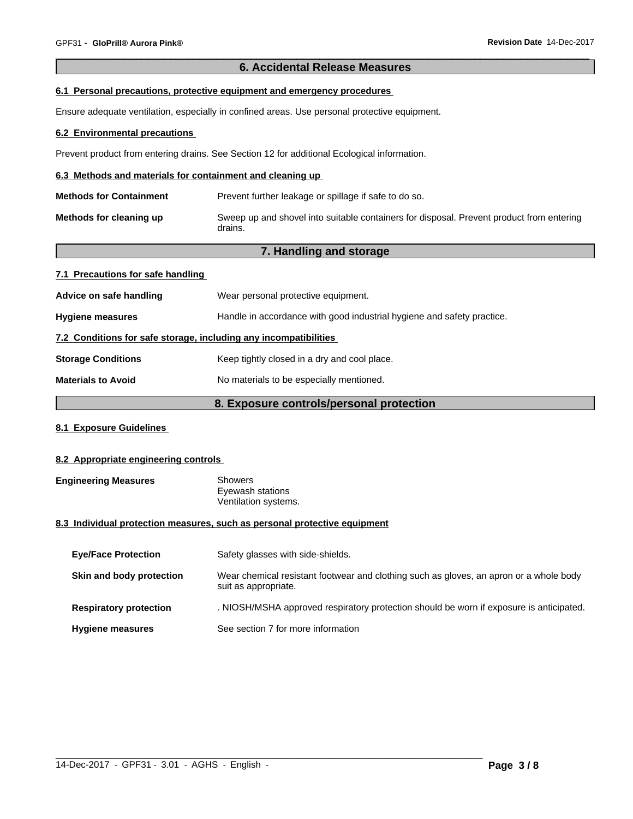# **6. Accidental Release Measures**

## **6.1 Personal precautions, protective equipment and emergency procedures**

Ensure adequate ventilation, especially in confined areas. Use personal protective equipment.

#### **6.2 Environmental precautions**

Prevent product from entering drains. See Section 12 for additional Ecological information.

#### **6.3 Methods and materials for containment and cleaning up**

| <b>Methods for Containment</b> | Prevent further leakage or spillage if safe to do so.                                               |
|--------------------------------|-----------------------------------------------------------------------------------------------------|
| Methods for cleaning up        | Sweep up and shovel into suitable containers for disposal. Prevent product from entering<br>drains. |

# **7. Handling and storage**

## **7.1 Precautions for safe handling**

| <b>Materials to Avoid</b>                                        | No materials to be especially mentioned.                               |  |
|------------------------------------------------------------------|------------------------------------------------------------------------|--|
| <b>Storage Conditions</b>                                        | Keep tightly closed in a dry and cool place.                           |  |
| 7.2 Conditions for safe storage, including any incompatibilities |                                                                        |  |
| <b>Hygiene measures</b>                                          | Handle in accordance with good industrial hygiene and safety practice. |  |
| Advice on safe handling                                          | Wear personal protective equipment.                                    |  |

#### **8. Exposure controls/personal protection**

# **8.1 Exposure Guidelines**

# **8.2 Appropriate engineering controls**

#### **Engineering Measures** Showers Eyewash stations Ventilation systems.

# **8.3 Individual protection measures, such as personal protective equipment**

| <b>Eye/Face Protection</b>    | Safety glasses with side-shields.                                                                              |
|-------------------------------|----------------------------------------------------------------------------------------------------------------|
| Skin and body protection      | Wear chemical resistant footwear and clothing such as gloves, an apron or a whole body<br>suit as appropriate. |
| <b>Respiratory protection</b> | . NIOSH/MSHA approved respiratory protection should be worn if exposure is anticipated.                        |
| <b>Hygiene measures</b>       | See section 7 for more information                                                                             |

 $\_$  ,  $\_$  ,  $\_$  ,  $\_$  ,  $\_$  ,  $\_$  ,  $\_$  ,  $\_$  ,  $\_$  ,  $\_$  ,  $\_$  ,  $\_$  ,  $\_$  ,  $\_$  ,  $\_$  ,  $\_$  ,  $\_$  ,  $\_$  ,  $\_$  ,  $\_$  ,  $\_$  ,  $\_$  ,  $\_$  ,  $\_$  ,  $\_$  ,  $\_$  ,  $\_$  ,  $\_$  ,  $\_$  ,  $\_$  ,  $\_$  ,  $\_$  ,  $\_$  ,  $\_$  ,  $\_$  ,  $\_$  ,  $\_$  ,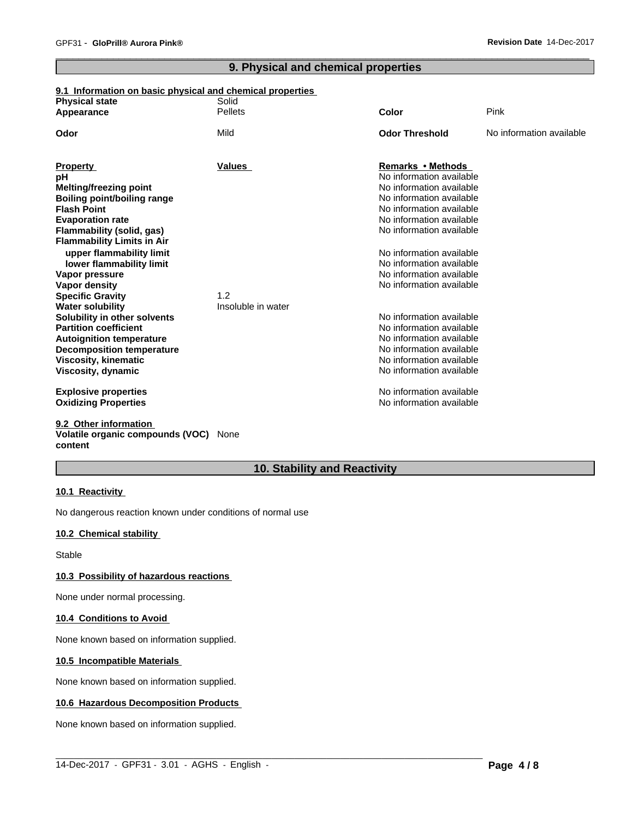# **9. Physical and chemical properties**

# **9.1 Information on basic physical and chemical properties**

| <b>Physical state</b>                                        | Solid              |                                               |                          |
|--------------------------------------------------------------|--------------------|-----------------------------------------------|--------------------------|
| Appearance                                                   | <b>Pellets</b>     | Color                                         | Pink                     |
| Odor                                                         | Mild               | <b>Odor Threshold</b>                         | No information available |
|                                                              |                    |                                               |                          |
| <b>Property</b>                                              | <b>Values</b>      | Remarks • Methods<br>No information available |                          |
| рH                                                           |                    | No information available                      |                          |
| <b>Melting/freezing point</b><br>Boiling point/boiling range |                    | No information available                      |                          |
| <b>Flash Point</b>                                           |                    | No information available                      |                          |
| <b>Evaporation rate</b>                                      |                    | No information available                      |                          |
| Flammability (solid, gas)                                    |                    | No information available                      |                          |
| <b>Flammability Limits in Air</b>                            |                    |                                               |                          |
| upper flammability limit                                     |                    | No information available                      |                          |
| lower flammability limit                                     |                    | No information available                      |                          |
| Vapor pressure                                               |                    | No information available                      |                          |
| Vapor density                                                |                    | No information available                      |                          |
| <b>Specific Gravity</b>                                      | 1.2                |                                               |                          |
| <b>Water solubility</b>                                      | Insoluble in water |                                               |                          |
| Solubility in other solvents                                 |                    | No information available                      |                          |
| <b>Partition coefficient</b>                                 |                    | No information available                      |                          |
| <b>Autoignition temperature</b>                              |                    | No information available                      |                          |
| <b>Decomposition temperature</b>                             |                    | No information available                      |                          |
| <b>Viscosity, kinematic</b>                                  |                    | No information available                      |                          |
| Viscosity, dynamic                                           |                    | No information available                      |                          |
| <b>Explosive properties</b>                                  |                    | No information available                      |                          |
| <b>Oxidizing Properties</b>                                  |                    | No information available                      |                          |
| 9.2 Other information                                        |                    |                                               |                          |

# **Volatile organic compounds (VOC)** None **content**

# **10. Stability and Reactivity**

 $\_$  ,  $\_$  ,  $\_$  ,  $\_$  ,  $\_$  ,  $\_$  ,  $\_$  ,  $\_$  ,  $\_$  ,  $\_$  ,  $\_$  ,  $\_$  ,  $\_$  ,  $\_$  ,  $\_$  ,  $\_$  ,  $\_$  ,  $\_$  ,  $\_$  ,  $\_$  ,  $\_$  ,  $\_$  ,  $\_$  ,  $\_$  ,  $\_$  ,  $\_$  ,  $\_$  ,  $\_$  ,  $\_$  ,  $\_$  ,  $\_$  ,  $\_$  ,  $\_$  ,  $\_$  ,  $\_$  ,  $\_$  ,  $\_$  ,

#### **10.1 Reactivity**

No dangerous reaction known under conditions of normal use

# **10.2 Chemical stability**

Stable

#### **10.3 Possibility of hazardous reactions**

None under normal processing.

#### **10.4 Conditions to Avoid**

None known based on information supplied.

#### **10.5 Incompatible Materials**

None known based on information supplied.

#### **10.6 Hazardous Decomposition Products**

None known based on information supplied.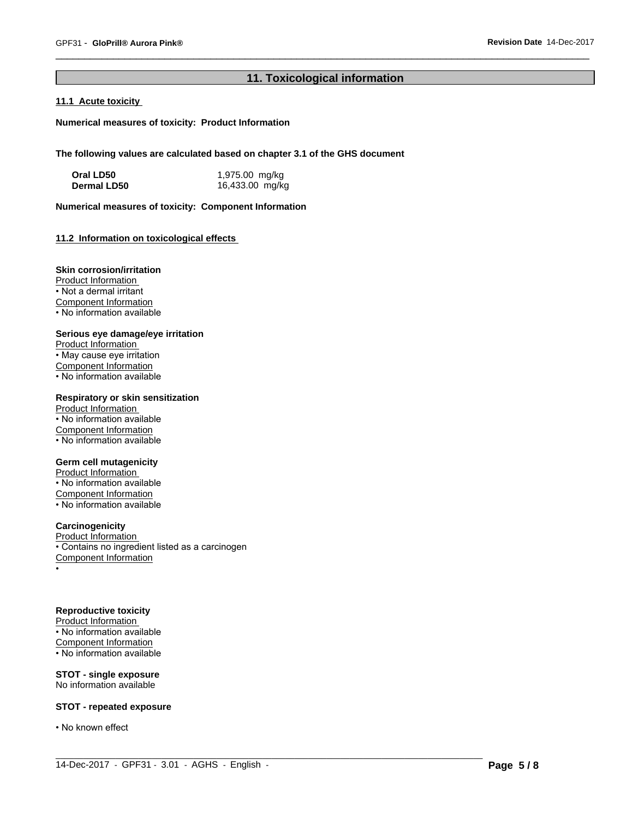# **11. Toxicological information**

 $\_$  ,  $\_$  ,  $\_$  ,  $\_$  ,  $\_$  ,  $\_$  ,  $\_$  ,  $\_$  ,  $\_$  ,  $\_$  ,  $\_$  ,  $\_$  ,  $\_$  ,  $\_$  ,  $\_$  ,  $\_$  ,  $\_$  ,  $\_$  ,  $\_$  ,  $\_$  ,  $\_$  ,  $\_$  ,  $\_$  ,  $\_$  ,  $\_$  ,  $\_$  ,  $\_$  ,  $\_$  ,  $\_$  ,  $\_$  ,  $\_$  ,  $\_$  ,  $\_$  ,  $\_$  ,  $\_$  ,  $\_$  ,  $\_$  ,

# **11.1 Acute toxicity**

**Numerical measures of toxicity: Product Information**

**The following values are calculated based on chapter 3.1 of the GHS document**

| Oral LD50   | 1,975.00 mg/kg  |
|-------------|-----------------|
| Dermal LD50 | 16,433.00 mg/kg |

**Numerical measures of toxicity: Component Information**

# **11.2 Information on toxicologicaleffects**

#### **Skin corrosion/irritation**

Product Information • Not a dermal irritant Component Information • No information available

#### **Serious eye damage/eye irritation**

Product Information • May cause eye irritation Component Information • No information available

#### **Respiratory or skin sensitization**

Product Information • No information available Component Information  $\overline{\cdot}$  No information available

# **Germ cell mutagenicity**

Product Information • No information available Component Information • No information available

#### **Carcinogenicity**

Product Information • Contains no ingredient listed as a carcinogen Component Information •

#### **Reproductive toxicity**

Product Information • No information available Component Information • No information available

#### **STOT - single exposure** No information available

#### **STOT - repeated exposure**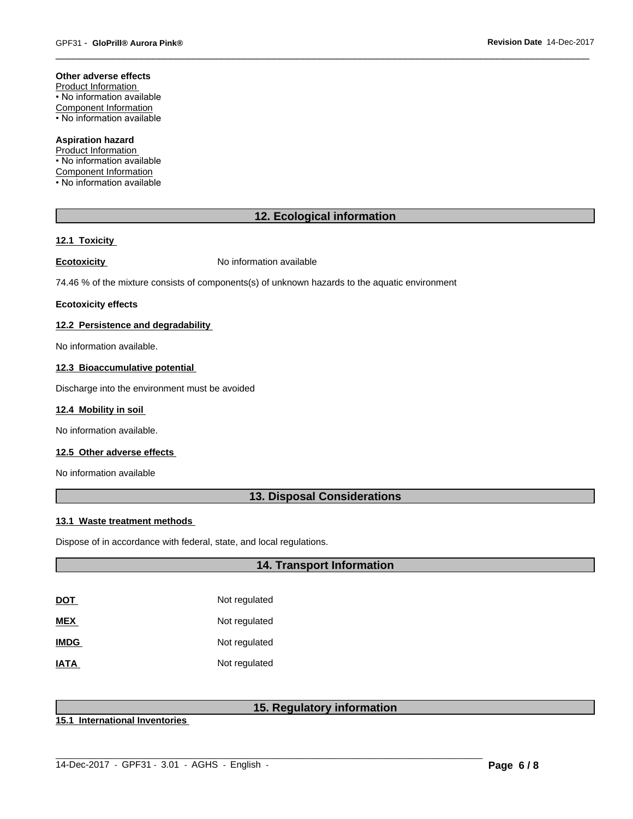#### **Other adverse effects**

Product Information • No information available Component Information • No information available

# **Aspiration hazard**

Product Information • No information available Component Information • No information available

# **12. Ecological information**

#### **12.1 Toxicity**

**Ecotoxicity No information available** 

74.46 % of the mixture consists of components(s) of unknown hazards to the aquatic environment

#### **Ecotoxicity effects**

#### **12.2 Persistence and degradability**

No information available.

#### **12.3 Bioaccumulative potential**

Discharge into the environment must be avoided

#### **12.4 Mobility in soil**

No information available.

#### **12.5 Other adverse effects**

No information available

# **13. Disposal Considerations**

#### **13.1 Waste treatment methods**

Dispose of in accordance with federal, state, and local regulations.

# **14. Transport Information**

| DOT         | Not regulated |
|-------------|---------------|
| MEX         | Not regulated |
| <b>IMDG</b> | Not regulated |
| IATA        | Not regulated |

# **15. Regulatory information**

 $\_$  ,  $\_$  ,  $\_$  ,  $\_$  ,  $\_$  ,  $\_$  ,  $\_$  ,  $\_$  ,  $\_$  ,  $\_$  ,  $\_$  ,  $\_$  ,  $\_$  ,  $\_$  ,  $\_$  ,  $\_$  ,  $\_$  ,  $\_$  ,  $\_$  ,  $\_$  ,  $\_$  ,  $\_$  ,  $\_$  ,  $\_$  ,  $\_$  ,  $\_$  ,  $\_$  ,  $\_$  ,  $\_$  ,  $\_$  ,  $\_$  ,  $\_$  ,  $\_$  ,  $\_$  ,  $\_$  ,  $\_$  ,  $\_$  ,

**15.1 International Inventories**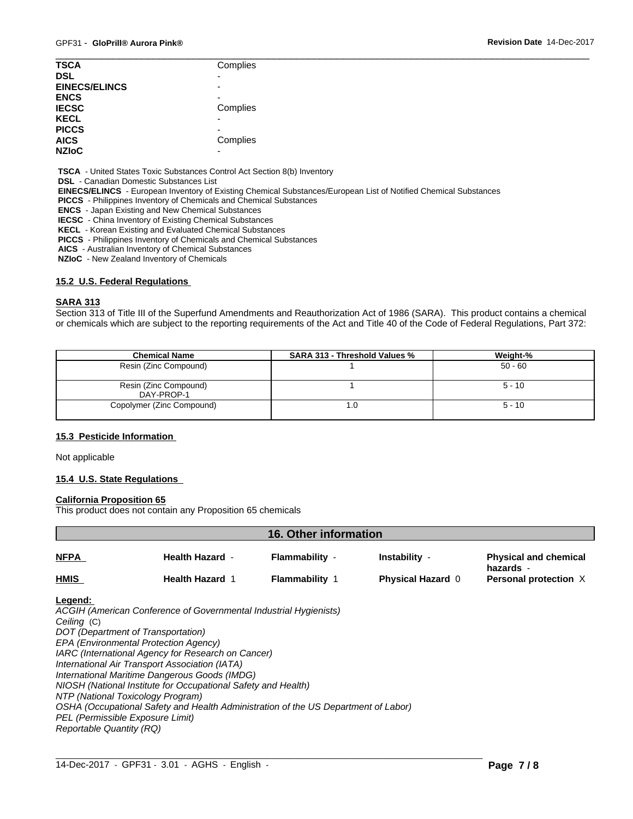| <b>TSCA</b>          | Complies                 |
|----------------------|--------------------------|
| <b>DSL</b>           | $\overline{\phantom{0}}$ |
| <b>EINECS/ELINCS</b> | -                        |
| <b>ENCS</b>          |                          |
| <b>IECSC</b>         | Complies                 |
| <b>KECL</b>          | $\overline{\phantom{0}}$ |
| <b>PICCS</b>         |                          |
| <b>AICS</b>          | Complies                 |
| <b>NZIOC</b>         | -                        |
|                      |                          |

 **TSCA** - United States Toxic Substances Control Act Section 8(b) Inventory

 **DSL** - Canadian Domestic Substances List

 **EINECS/ELINCS** - European Inventory of Existing Chemical Substances/European List of Notified Chemical Substances

 **PICCS** - Philippines Inventory of Chemicals and Chemical Substances

 **ENCS** - Japan Existing and New Chemical Substances

 **IECSC** - China Inventory of Existing Chemical Substances

 **KECL** - Korean Existing and Evaluated Chemical Substances

 **PICCS** - Philippines Inventory of Chemicals and Chemical Substances

 **AICS** - Australian Inventory of Chemical Substances

 **NZIoC** - New Zealand Inventory of Chemicals

#### **15.2 U.S. Federal Regulations**

#### **SARA 313**

Section 313 of Title III of the Superfund Amendments and Reauthorization Act of 1986 (SARA). This product contains a chemical or chemicals which are subject to the reporting requirements of the Act and Title 40 of the Code of Federal Regulations, Part 372:

| <b>Chemical Name</b>                | <b>SARA 313 - Threshold Values %</b> | Weight-%  |
|-------------------------------------|--------------------------------------|-----------|
| Resin (Zinc Compound)               |                                      | $50 - 60$ |
| Resin (Zinc Compound)<br>DAY-PROP-1 |                                      | $5 - 10$  |
| Copolymer (Zinc Compound)           | I J                                  | $5 - 10$  |

#### **15.3 Pesticide Information**

Not applicable

#### **15.4 U.S. State Regulations**

#### **California Proposition 65**

This product does not contain any Proposition 65 chemicals

|             | <b>16. Other information</b> |                       |                          |                                           |  |
|-------------|------------------------------|-----------------------|--------------------------|-------------------------------------------|--|
| <b>NFPA</b> | <b>Health Hazard -</b>       | Flammability -        | Instability -            | <b>Physical and chemical</b><br>hazards - |  |
| <b>HMIS</b> | <b>Health Hazard 1</b>       | <b>Flammability 1</b> | <b>Physical Hazard 0</b> | Personal protection X                     |  |
|             |                              |                       |                          |                                           |  |

**Legend:** 

*ACGIH (American Conference of Governmental Industrial Hygienists) Ceiling* (C) *DOT (Department of Transportation) EPA (Environmental Protection Agency) IARC (International Agency for Research on Cancer) International Air Transport Association (IATA) International Maritime Dangerous Goods (IMDG) NIOSH (National Institute for Occupational Safety and Health) NTP (National Toxicology Program) OSHA (Occupational Safety and Health Administration of the US Department of Labor) PEL (Permissible Exposure Limit) Reportable Quantity (RQ)*